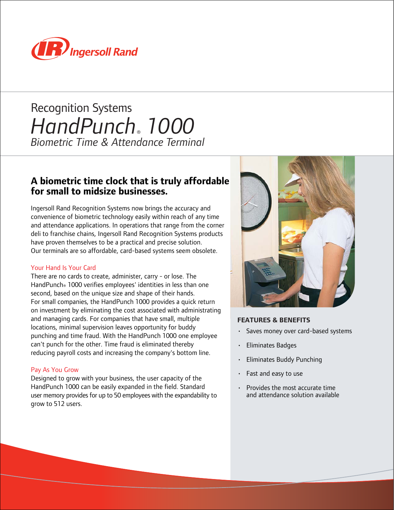

# Recognition Systems *HandPunch® 1000 Biometric Time & Attendance Terminal*

# **A biometric time clock that is truly affordable for small to midsize businesses.**

Ingersoll Rand Recognition Systems now brings the accuracy and convenience of biometric technology easily within reach of any time and attendance applications. In operations that range from the corner deli to franchise chains, Ingersoll Rand Recognition Systems products have proven themselves to be a practical and precise solution. Our terminals are so affordable, card-based systems seem obsolete.

# Your Hand Is Your Card

There are no cards to create, administer, carry - or lose. The HandPunch® 1000 verifies employees' identities in less than one second, based on the unique size and shape of their hands. For small companies, the HandPunch 1000 provides a quick return on investment by eliminating the cost associated with administrating and managing cards. For companies that have small, multiple locations, minimal supervision leaves opportunity for buddy punching and time fraud. With the HandPunch 1000 one employee can't punch for the other. Time fraud is eliminated thereby reducing payroll costs and increasing the company's bottom line.

# Pay As You Grow

Designed to grow with your business, the user capacity of the HandPunch 1000 can be easily expanded in the field. Standard user memory provides for up to 50 employees with the expandability to grow to 512 users.



# **FEATURES & BENEFITS**

- Saves money over card-based systems
- Eliminates Badges
- Eliminates Buddy Punching
- Fast and easy to use
- Provides the most accurate time and attendance solution available